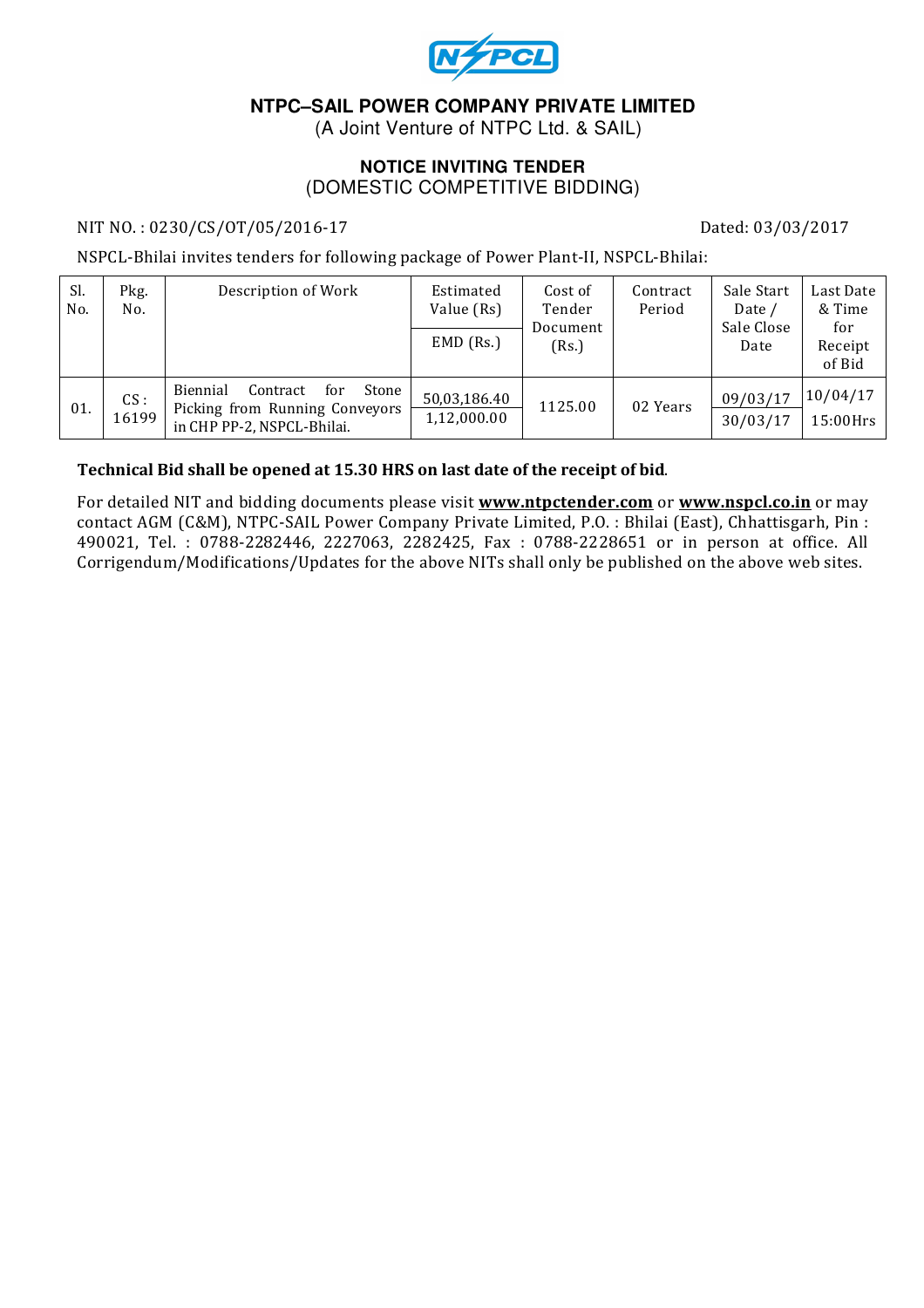

# **NTPC–SAIL POWER COMPANY PRIVATE LIMITED**

(A Joint Venture of NTPC Ltd. & SAIL)

#### **NOTICE INVITING TENDER**  (DOMESTIC COMPETITIVE BIDDING)

#### NIT NO.: 0230/CS/OT/05/2016-17 Dated: 03/03/2017

NSPCL-Bhilai invites tenders for following package of Power Plant-II, NSPCL-Bhilai:

| Sl.<br>No. | Pkg.<br>No.  | Description of Work                                                                                  | Estimated<br>Value (Rs)<br>$EMD$ (Rs.) | Cost of<br>Tender<br>Document<br>(Rs.) | Contract<br>Period | Sale Start<br>Date /<br>Sale Close<br>Date | Last Date<br>& Time<br>for<br>Receipt<br>of Bid |
|------------|--------------|------------------------------------------------------------------------------------------------------|----------------------------------------|----------------------------------------|--------------------|--------------------------------------------|-------------------------------------------------|
| 01.        | CS:<br>16199 | Biennial<br>Contract<br>Stone<br>for<br>Picking from Running Conveyors<br>in CHP PP-2, NSPCL-Bhilai. | 50,03,186.40<br>1,12,000.00            | 1125.00                                | 02 Years           | 09/03/17<br>30/03/17                       | 10/04/17<br>15:00Hrs                            |

#### Technical Bid shall be opened at 15.30 HRS on last date of the receipt of bid.

For detailed NIT and bidding documents please visit **www.ntpctender.com** or www.nspcl.co.in or may contact AGM (C&M), NTPC-SAIL Power Company Private Limited, P.O. : Bhilai (East), Chhattisgarh, Pin : 490021, Tel. : 0788-2282446, 2227063, 2282425, Fax : 0788-2228651 or in person at office. All Corrigendum/Modifications/Updates for the above NITs shall only be published on the above web sites.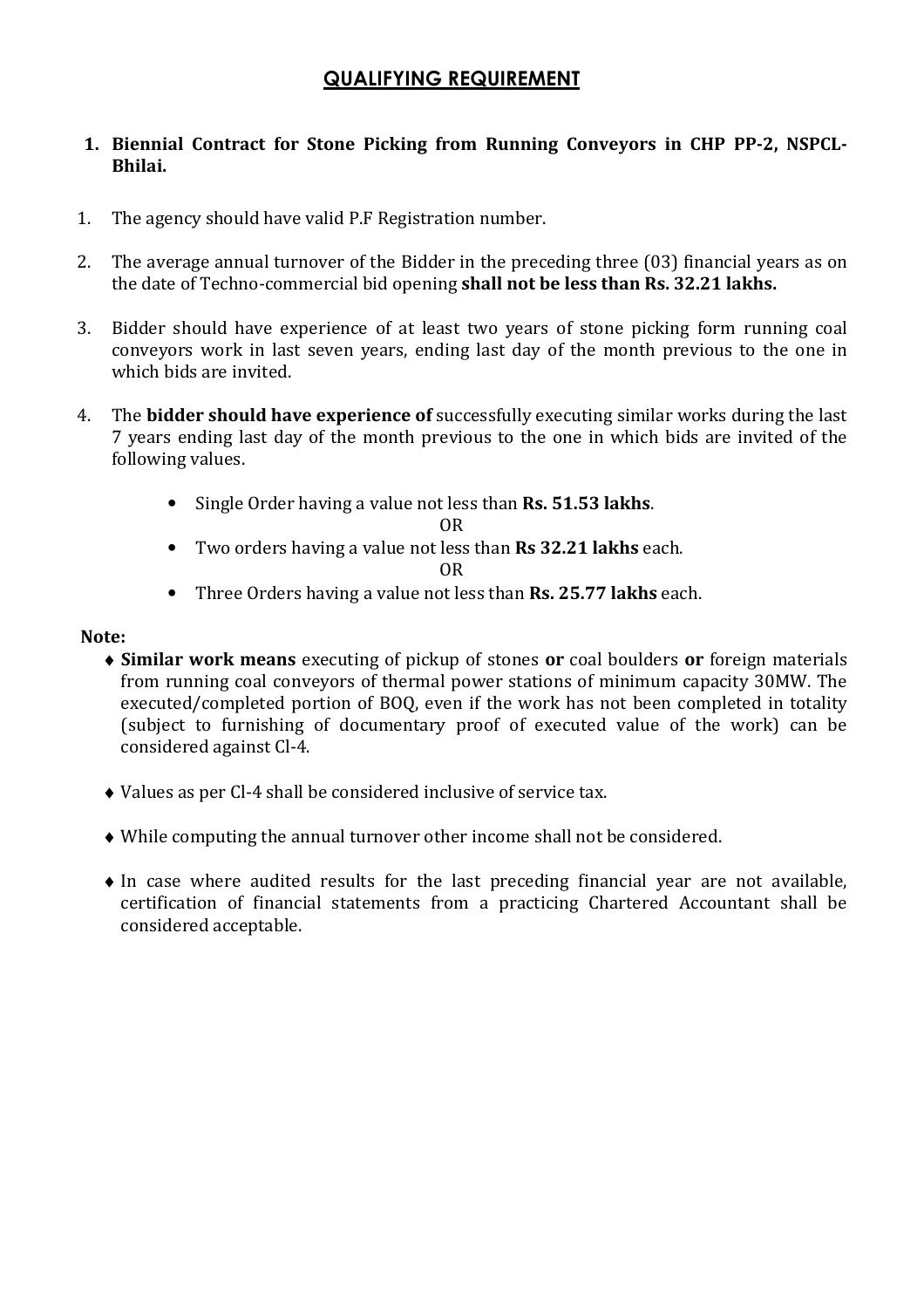# QUALIFYING REQUIREMENT

## 1. Biennial Contract for Stone Picking from Running Conveyors in CHP PP-2, NSPCL-Bhilai.

- 1. The agency should have valid P.F Registration number.
- 2. The average annual turnover of the Bidder in the preceding three (03) financial years as on the date of Techno-commercial bid opening shall not be less than Rs. 32.21 lakhs.
- 3. Bidder should have experience of at least two years of stone picking form running coal conveyors work in last seven years, ending last day of the month previous to the one in which bids are invited.
- 4. The **bidder should have experience of** successfully executing similar works during the last 7 years ending last day of the month previous to the one in which bids are invited of the following values.
	- Single Order having a value not less than Rs. 51.53 lakhs.

#### OR

• Two orders having a value not less than Rs 32.21 lakhs each.

#### OR

• Three Orders having a value not less than **Rs. 25.77 lakhs** each.

#### Note:

- ♦ Similar work means executing of pickup of stones or coal boulders or foreign materials from running coal conveyors of thermal power stations of minimum capacity 30MW. The executed/completed portion of BOQ, even if the work has not been completed in totality (subject to furnishing of documentary proof of executed value of the work) can be considered against Cl-4.
- ♦ Values as per Cl-4 shall be considered inclusive of service tax.
- ♦ While computing the annual turnover other income shall not be considered.
- ♦ In case where audited results for the last preceding financial year are not available, certification of financial statements from a practicing Chartered Accountant shall be considered acceptable.